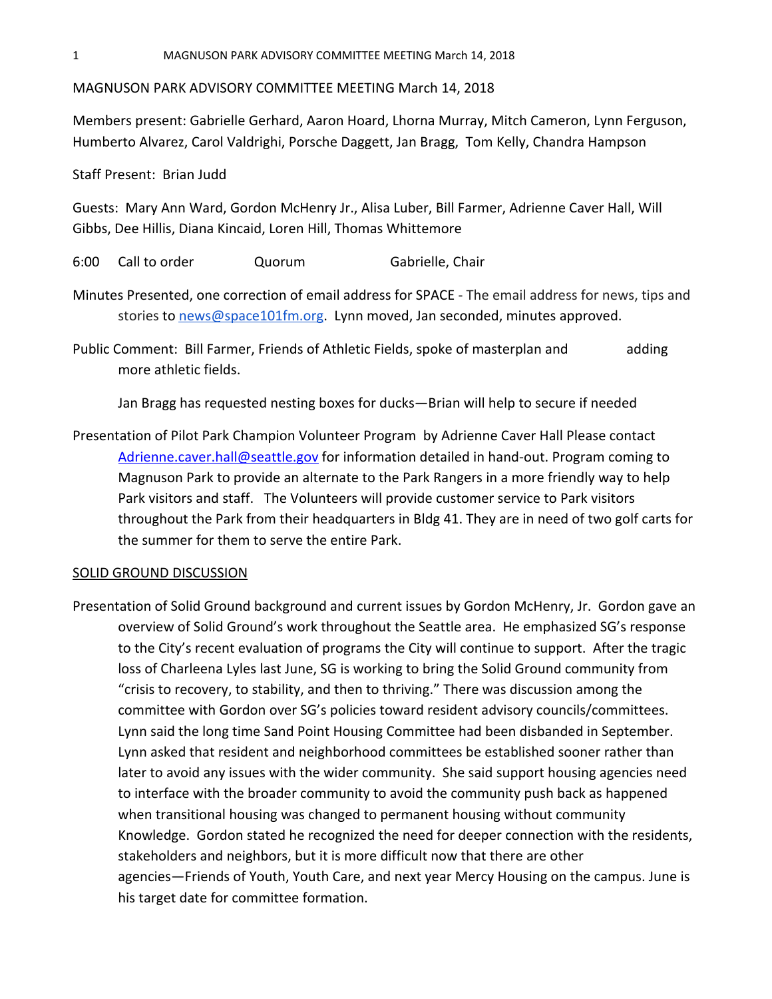MAGNUSON PARK ADVISORY COMMITTEE MEETING March 14, 2018

Members present: Gabrielle Gerhard, Aaron Hoard, Lhorna Murray, Mitch Cameron, Lynn Ferguson, Humberto Alvarez, Carol Valdrighi, Porsche Daggett, Jan Bragg, Tom Kelly, Chandra Hampson

Staff Present: Brian Judd

Guests: Mary Ann Ward, Gordon McHenry Jr., Alisa Luber, Bill Farmer, Adrienne Caver Hall, Will Gibbs, Dee Hillis, Diana Kincaid, Loren Hill, Thomas Whittemore

6:00 Call to order Quorum Gabrielle, Chair

Minutes Presented, one correction of email address for SPACE - The email address for news, tips and stories to [news@space101fm.org](mailto:news@space101fm.org). Lynn moved, Jan seconded, minutes approved.

Public Comment: Bill Farmer, Friends of Athletic Fields, spoke of masterplan and adding more athletic fields.

Jan Bragg has requested nesting boxes for ducks—Brian will help to secure if needed

Presentation of Pilot Park Champion Volunteer Program by Adrienne Caver Hall Please contact [Adrienne.caver.hall@seattle.gov](mailto:Adrienne.caver.hall@seattle.gov) for information detailed in hand-out. Program coming to Magnuson Park to provide an alternate to the Park Rangers in a more friendly way to help Park visitors and staff. The Volunteers will provide customer service to Park visitors throughout the Park from their headquarters in Bldg 41. They are in need of two golf carts for the summer for them to serve the entire Park.

## SOLID GROUND DISCUSSION

Presentation of Solid Ground background and current issues by Gordon McHenry, Jr. Gordon gave an overview of Solid Ground's work throughout the Seattle area. He emphasized SG's response to the City's recent evaluation of programs the City will continue to support. After the tragic loss of Charleena Lyles last June, SG is working to bring the Solid Ground community from "crisis to recovery, to stability, and then to thriving." There was discussion among the committee with Gordon over SG's policies toward resident advisory councils/committees. Lynn said the long time Sand Point Housing Committee had been disbanded in September. Lynn asked that resident and neighborhood committees be established sooner rather than later to avoid any issues with the wider community. She said support housing agencies need to interface with the broader community to avoid the community push back as happened when transitional housing was changed to permanent housing without community Knowledge. Gordon stated he recognized the need for deeper connection with the residents, stakeholders and neighbors, but it is more difficult now that there are other agencies—Friends of Youth, Youth Care, and next year Mercy Housing on the campus. June is his target date for committee formation.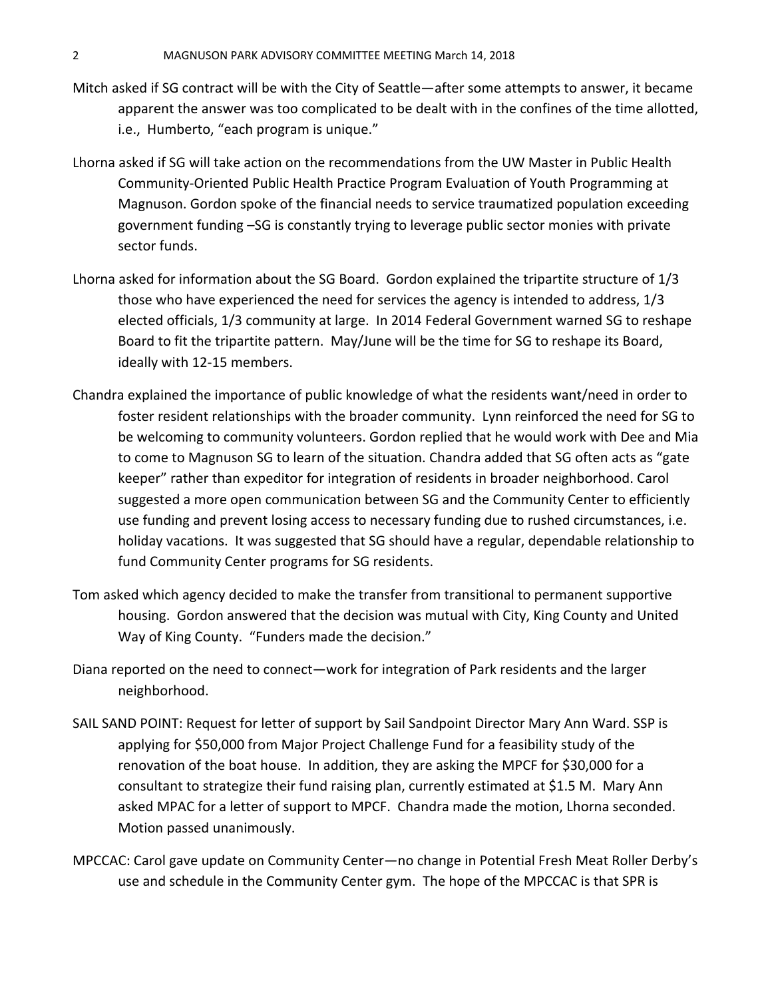- Mitch asked if SG contract will be with the City of Seattle—after some attempts to answer, it became apparent the answer was too complicated to be dealt with in the confines of the time allotted, i.e., Humberto, "each program is unique."
- Lhorna asked if SG will take action on the recommendations from the UW Master in Public Health Community-Oriented Public Health Practice Program Evaluation of Youth Programming at Magnuson. Gordon spoke of the financial needs to service traumatized population exceeding government funding –SG is constantly trying to leverage public sector monies with private sector funds.
- Lhorna asked for information about the SG Board. Gordon explained the tripartite structure of 1/3 those who have experienced the need for services the agency is intended to address, 1/3 elected officials, 1/3 community at large. In 2014 Federal Government warned SG to reshape Board to fit the tripartite pattern. May/June will be the time for SG to reshape its Board, ideally with 12-15 members.
- Chandra explained the importance of public knowledge of what the residents want/need in order to foster resident relationships with the broader community. Lynn reinforced the need for SG to be welcoming to community volunteers. Gordon replied that he would work with Dee and Mia to come to Magnuson SG to learn of the situation. Chandra added that SG often acts as "gate keeper" rather than expeditor for integration of residents in broader neighborhood. Carol suggested a more open communication between SG and the Community Center to efficiently use funding and prevent losing access to necessary funding due to rushed circumstances, i.e. holiday vacations. It was suggested that SG should have a regular, dependable relationship to fund Community Center programs for SG residents.
- Tom asked which agency decided to make the transfer from transitional to permanent supportive housing. Gordon answered that the decision was mutual with City, King County and United Way of King County. "Funders made the decision."
- Diana reported on the need to connect—work for integration of Park residents and the larger neighborhood.
- SAIL SAND POINT: Request for letter of support by Sail Sandpoint Director Mary Ann Ward. SSP is applying for \$50,000 from Major Project Challenge Fund for a feasibility study of the renovation of the boat house. In addition, they are asking the MPCF for \$30,000 for a consultant to strategize their fund raising plan, currently estimated at \$1.5 M. Mary Ann asked MPAC for a letter of support to MPCF. Chandra made the motion, Lhorna seconded. Motion passed unanimously.
- MPCCAC: Carol gave update on Community Center—no change in Potential Fresh Meat Roller Derby's use and schedule in the Community Center gym. The hope of the MPCCAC is that SPR is